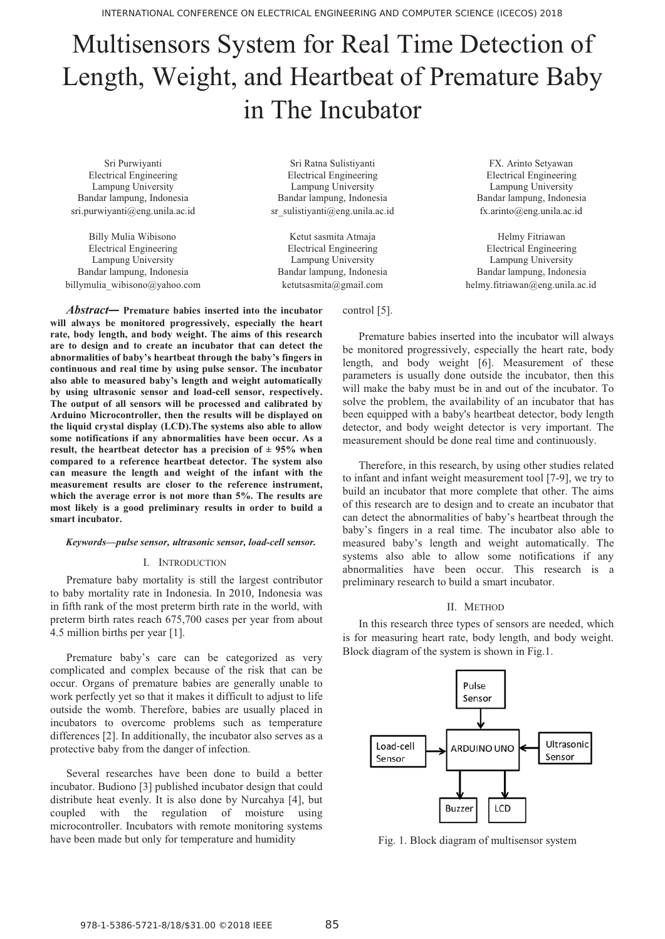# Multisensors System for Real Time Detection of Length, Weight, and Heartbeat of Premature Baby in The Incubator

sri.purwiyanti@eng.unila.ac.id sr\_sulistiyanti@eng.unila.ac.id fx.arinto@eng.unila.ac.id

Electrical Engineering Electrical Engineering Electrical Engineering Lampung University Lampung University Lampung University Bandar lampung, Indonesia Bandar lampung, Indonesia Bandar lampung, Indonesia billymulia wibisono@yahoo.com ketutsasmita@gmail.com helmy.fitriawan@eng.unila.ac.id

Sri Purwiyanti Sri Ratna Sulistiyanti FX. Arinto Setyawan Electrical Engineering Electrical Engineering Electrical Engineering Lampung University Lampung University Lampung University Bandar lampung, Indonesia Bandar lampung, Indonesia Bandar lampung, Indonesia

Billy Mulia Wibisono **Ketut sasmita Atmaja** Helmy Fitriawan

control [5].

*Abstract***— Premature babies inserted into the incubator will always be monitored progressively, especially the heart rate, body length, and body weight. The aims of this research are to design and to create an incubator that can detect the abnormalities of baby's heartbeat through the baby's fingers in continuous and real time by using pulse sensor. The incubator also able to measured baby's length and weight automatically by using ultrasonic sensor and load-cell sensor, respectively. The output of all sensors will be processed and calibrated by Arduino Microcontroller, then the results will be displayed on the liquid crystal display (LCD).The systems also able to allow some notifications if any abnormalities have been occur. As a result, the heartbeat detector has a precision of**  $\pm$  **95% when compared to a reference heartbeat detector. The system also can measure the length and weight of the infant with the measurement results are closer to the reference instrument, which the average error is not more than 5%. The results are most likely is a good preliminary results in order to build a smart incubator.** 

### *Keywords—pulse sensor, ultrasonic sensor, load-cell sensor.*

#### I. INTRODUCTION

Premature baby mortality is still the largest contributor to baby mortality rate in Indonesia. In 2010, Indonesia was in fifth rank of the most preterm birth rate in the world, with preterm birth rates reach 675,700 cases per year from about 4.5 million births per year [1].

Premature baby's care can be categorized as very complicated and complex because of the risk that can be occur. Organs of premature babies are generally unable to work perfectly yet so that it makes it difficult to adjust to life outside the womb. Therefore, babies are usually placed in incubators to overcome problems such as temperature differences [2]. In additionally, the incubator also serves as a protective baby from the danger of infection.

Several researches have been done to build a better incubator. Budiono [3] published incubator design that could distribute heat evenly. It is also done by Nurcahya [4], but coupled with the regulation of moisture using microcontroller. Incubators with remote monitoring systems have been made but only for temperature and humidity

Premature babies inserted into the incubator will always be monitored progressively, especially the heart rate, body length, and body weight [6]. Measurement of these parameters is usually done outside the incubator, then this will make the baby must be in and out of the incubator. To solve the problem, the availability of an incubator that has been equipped with a baby's heartbeat detector, body length detector, and body weight detector is very important. The measurement should be done real time and continuously.

Therefore, in this research, by using other studies related to infant and infant weight measurement tool [7-9], we try to build an incubator that more complete that other. The aims of this research are to design and to create an incubator that can detect the abnormalities of baby's heartbeat through the baby's fingers in a real time. The incubator also able to measured baby's length and weight automatically. The systems also able to allow some notifications if any abnormalities have been occur. This research is a preliminary research to build a smart incubator.

#### II. METHOD

In this research three types of sensors are needed, which is for measuring heart rate, body length, and body weight. Block diagram of the system is shown in Fig.1.



Fig. 1. Block diagram of multisensor system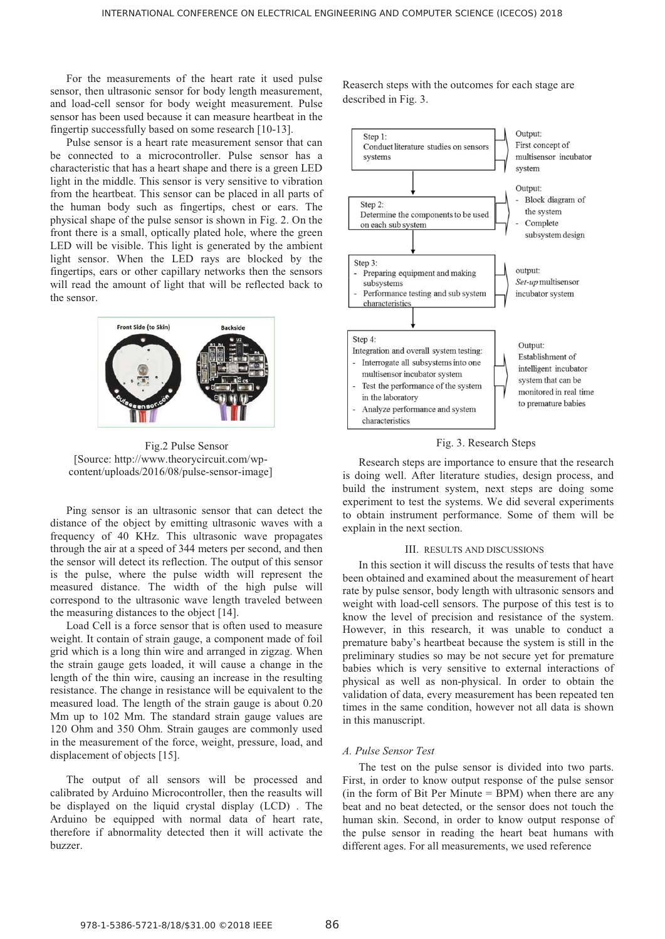For the measurements of the heart rate it used pulse sensor, then ultrasonic sensor for body length measurement, and load-cell sensor for body weight measurement. Pulse sensor has been used because it can measure heartbeat in the fingertip successfully based on some research [10-13].

Pulse sensor is a heart rate measurement sensor that can be connected to a microcontroller. Pulse sensor has a characteristic that has a heart shape and there is a green LED light in the middle. This sensor is very sensitive to vibration from the heartbeat. This sensor can be placed in all parts of the human body such as fingertips, chest or ears. The physical shape of the pulse sensor is shown in Fig. 2. On the front there is a small, optically plated hole, where the green LED will be visible. This light is generated by the ambient light sensor. When the LED rays are blocked by the fingertips, ears or other capillary networks then the sensors will read the amount of light that will be reflected back to the sensor.



Fig.2 Pulse Sensor [Source: http://www.theorycircuit.com/wpcontent/uploads/2016/08/pulse-sensor-image]

Ping sensor is an ultrasonic sensor that can detect the distance of the object by emitting ultrasonic waves with a frequency of 40 KHz. This ultrasonic wave propagates through the air at a speed of 344 meters per second, and then the sensor will detect its reflection. The output of this sensor is the pulse, where the pulse width will represent the measured distance. The width of the high pulse will correspond to the ultrasonic wave length traveled between the measuring distances to the object [14].

Load Cell is a force sensor that is often used to measure weight. It contain of strain gauge, a component made of foil grid which is a long thin wire and arranged in zigzag. When the strain gauge gets loaded, it will cause a change in the length of the thin wire, causing an increase in the resulting resistance. The change in resistance will be equivalent to the measured load. The length of the strain gauge is about 0.20 Mm up to 102 Mm. The standard strain gauge values are 120 Ohm and 350 Ohm. Strain gauges are commonly used in the measurement of the force, weight, pressure, load, and displacement of objects [15].

The output of all sensors will be processed and calibrated by Arduino Microcontroller, then the reasults will be displayed on the liquid crystal display (LCD) . The Arduino be equipped with normal data of heart rate, therefore if abnormality detected then it will activate the buzzer.

Reaserch steps with the outcomes for each stage are described in Fig. 3.



Fig. 3. Research Steps

Research steps are importance to ensure that the research is doing well. After literature studies, design process, and build the instrument system, next steps are doing some experiment to test the systems. We did several experiments to obtain instrument performance. Some of them will be explain in the next section.

#### III. RESULTS AND DISCUSSIONS

In this section it will discuss the results of tests that have been obtained and examined about the measurement of heart rate by pulse sensor, body length with ultrasonic sensors and weight with load-cell sensors. The purpose of this test is to know the level of precision and resistance of the system. However, in this research, it was unable to conduct a premature baby's heartbeat because the system is still in the preliminary studies so may be not secure yet for premature babies which is very sensitive to external interactions of physical as well as non-physical. In order to obtain the validation of data, every measurement has been repeated ten times in the same condition, however not all data is shown in this manuscript.

### *A. Pulse Sensor Test*

The test on the pulse sensor is divided into two parts. First, in order to know output response of the pulse sensor (in the form of Bit Per Minute  $=$  BPM) when there are any beat and no beat detected, or the sensor does not touch the human skin. Second, in order to know output response of the pulse sensor in reading the heart beat humans with different ages. For all measurements, we used reference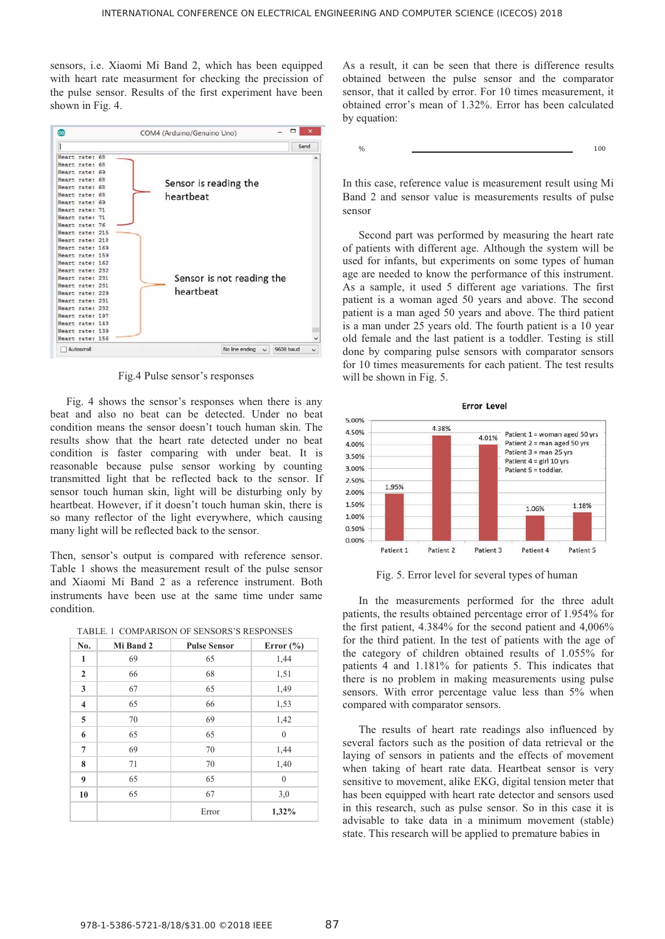$0/$ 

sensors, i.e. Xiaomi Mi Band 2, which has been equipped with heart rate measurment for checking the precission of the pulse sensor. Results of the first experiment have been shown in Fig. 4.



Fig.4 Pulse sensor's responses

Fig. 4 shows the sensor's responses when there is any beat and also no beat can be detected. Under no beat condition means the sensor doesn't touch human skin. The results show that the heart rate detected under no beat condition is faster comparing with under beat. It is reasonable because pulse sensor working by counting transmitted light that be reflected back to the sensor. If sensor touch human skin, light will be disturbing only by heartbeat. However, if it doesn't touch human skin, there is so many reflector of the light everywhere, which causing many light will be reflected back to the sensor.

Then, sensor's output is compared with reference sensor. Table 1 shows the measurement result of the pulse sensor and Xiaomi Mi Band 2 as a reference instrument. Both instruments have been use at the same time under same condition.

| No.            | Mi Band 2 | <b>Pulse Sensor</b> | Error $(\% )$    |
|----------------|-----------|---------------------|------------------|
| $\mathbf{1}$   | 69        | 65                  | 1,44             |
| $\overline{2}$ | 66        | 68                  | 1,51             |
| 3              | 67        | 65                  | 1,49             |
| $\overline{4}$ | 65        | 66                  | 1,53             |
| 5              | 70        | 69                  | 1,42             |
| 6              | 65        | 65                  | $\mathbf{0}$     |
| 7              | 69        | 70                  | 1,44             |
| 8              | 71        | $70\,$              | 1,40             |
| 9              | 65        | 65                  | $\boldsymbol{0}$ |
| 10             | 65        | 67                  | 3,0              |
|                |           | Error               | 1,32%            |

|  | TABLE. 1  COMPARISON OF SENSORS'S RESPONSES |  |  |
|--|---------------------------------------------|--|--|
|--|---------------------------------------------|--|--|

As a result, it can be seen that there is difference results obtained between the pulse sensor and the comparator sensor, that it called by error. For 10 times measurement, it obtained error's mean of 1.32%. Error has been calculated by equation:

 $\%$  100

In this case, reference value is measurement result using Mi Band 2 and sensor value is measurements results of pulse sensor

Second part was performed by measuring the heart rate of patients with different age. Although the system will be used for infants, but experiments on some types of human age are needed to know the performance of this instrument. As a sample, it used 5 different age variations. The first patient is a woman aged 50 years and above. The second patient is a man aged 50 years and above. The third patient is a man under 25 years old. The fourth patient is a 10 year old female and the last patient is a toddler. Testing is still done by comparing pulse sensors with comparator sensors for 10 times measurements for each patient. The test results will be shown in Fig. 5.



Fig. 5. Error level for several types of human

In the measurements performed for the three adult patients, the results obtained percentage error of 1.954% for the first patient, 4.384% for the second patient and 4,006% for the third patient. In the test of patients with the age of the category of children obtained results of 1.055% for patients 4 and 1.181% for patients 5. This indicates that there is no problem in making measurements using pulse sensors. With error percentage value less than 5% when compared with comparator sensors.

The results of heart rate readings also influenced by several factors such as the position of data retrieval or the laying of sensors in patients and the effects of movement when taking of heart rate data. Heartbeat sensor is very sensitive to movement, alike EKG, digital tension meter that has been equipped with heart rate detector and sensors used in this research, such as pulse sensor. So in this case it is advisable to take data in a minimum movement (stable) state. This research will be applied to premature babies in